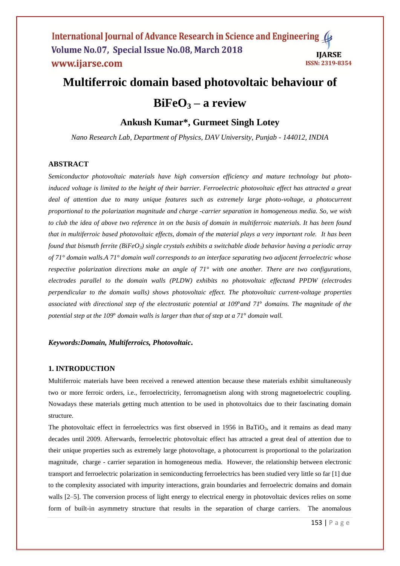## **Multiferroic domain based photovoltaic behaviour of**

# $BiFeO<sub>3</sub> - a review$

## **Ankush Kumar\*, Gurmeet Singh Lotey**

*Nano Research Lab, Department of Physics, DAV University, Punjab - 144012, INDIA*

## **ABSTRACT**

*Semiconductor photovoltaic materials have high conversion efficiency and mature technology but photoinduced voltage is limited to the height of their barrier. Ferroelectric photovoltaic effect has attracted a great deal of attention due to many unique features such as extremely large photo-voltage, a photocurrent proportional to the polarization magnitude and charge -carrier separation in homogeneous media. So, we wish to club the idea of above two reference in on the basis of domain in multiferroic materials. It has been found that in multiferroic based photovoltaic effects, domain of the material plays a very important role. It has been found that bismuth ferrite (BiFeO3) single crystals exhibits a switchable diode behavior having a periodic array of 71° domain walls.A 71° domain wall corresponds to an interface separating two adjacent ferroelectric whose respective polarization directions make an angle of 71° with one another. There are two configurations, electrodes parallel to the domain walls (PLDW) exhibits no photovoltaic effectand PPDW (electrodes perpendicular to the domain walls) shows photovoltaic effect. The photovoltaic current-voltage properties associated with directional step of the electrostatic potential at 109*°*and 71*° *domains. The magnitude of the potential step at the 109*° *domain walls is larger than that of step at a 71*° *domain wall.* 

### *Keywords:Domain, Multiferroics, Photovoltaic***.**

#### **1. INTRODUCTION**

Multiferroic materials have been received a renewed attention because these materials exhibit simultaneously two or more ferroic orders, i.e., ferroelectricity, ferromagnetism along with strong magnetoelectric coupling. Nowadays these materials getting much attention to be used in photovoltaics due to their fascinating domain structure.

The photovoltaic effect in ferroelectrics was first observed in 1956 in BaTiO<sub>3</sub>, and it remains as dead many decades until 2009. Afterwards, ferroelectric photovoltaic effect has attracted a great deal of attention due to their unique properties such as extremely large photovoltage, a photocurrent is proportional to the polarization magnitude, charge - carrier separation in homogeneous media. However, the relationship between electronic transport and ferroelectric polarization in semiconducting ferroelectrics has been studied very little so far [1] due to the complexity associated with impurity interactions, grain boundaries and ferroelectric domains and domain walls [2–5]. The conversion process of light energy to electrical energy in photovoltaic devices relies on some form of built-in asymmetry structure that results in the separation of charge carriers. The anomalous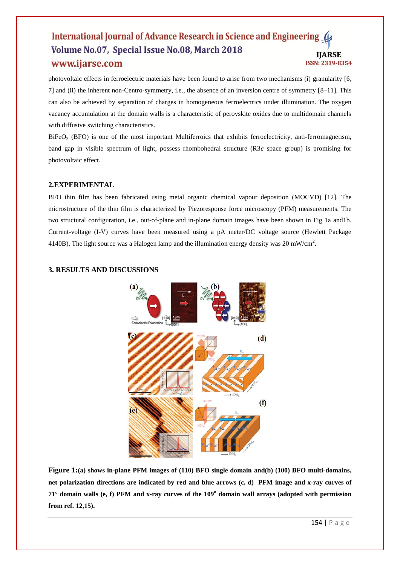photovoltaic effects in ferroelectric materials have been found to arise from two mechanisms (i) granularity [6, 7] and (ii) the inherent non-Centro-symmetry, i.e., the absence of an inversion centre of symmetry [8–11]. This can also be achieved by separation of charges in homogeneous ferroelectrics under illumination. The oxygen vacancy accumulation at the domain walls is a characteristic of perovskite oxides due to multidomain channels with diffusive switching characteristics.

 $B$ iFeO<sub>3</sub> (BFO) is one of the most important Multiferroics that exhibits ferroelectricity, anti-ferromagnetism, band gap in visible spectrum of light, possess rhombohedral structure (R3*c* space group) is promising for photovoltaic effect.

## **2.EXPERIMENTAL**

BFO thin film has been fabricated using metal organic chemical vapour deposition (MOCVD) [12]. The microstructure of the thin film is characterized by Piezoresponse force microscopy (PFM) measurements. The two structural configuration, i.e., out-of-plane and in-plane domain images have been shown in Fig 1a and1b. Current-voltage (I-V) curves have been measured using a pA meter/DC voltage source (Hewlett Package 4140B). The light source was a Halogen lamp and the illumination energy density was 20 mW/cm<sup>2</sup>.

## **3. RESULTS AND DISCUSSIONS**



**Figure 1:(a) shows in-plane PFM images of (110) BFO single domain and(b) (100) BFO multi-domains, net polarization directions are indicated by red and blue arrows (c, d) PFM image and x-ray curves of 71**° **domain walls (e, f) PFM and x-ray curves of the 109<sup>o</sup> domain wall arrays (adopted with permission from ref. 12,15).**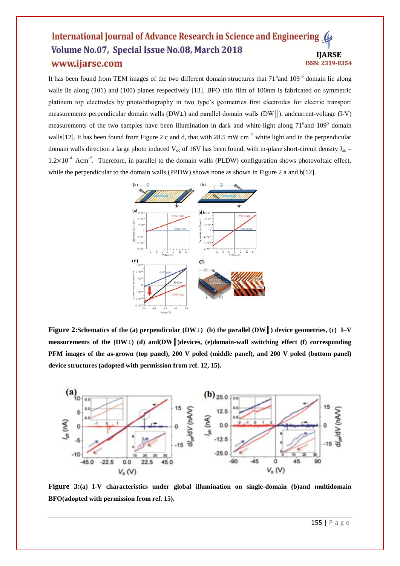It has been found from TEM images of the two different domain structures that 71° and 109° domain lie along walls lie along (101) and (100) planes respectively [13]. BFO thin film of 100nm is fabricated on symmetric platinum top electrodes by photolithography in two type's geometries first electrodes for electric transport measurements perpendicular domain walls (DW⊥) and parallel domain walls (DW║), andcurrent-voltage (I-V) measurements of the two samples have been illumination in dark and white-light along 71° and 109° domain walls[12]. It has been found from Figure 2 c and d, that with 28.5 mW cm<sup>-2</sup> white light and in the perpendicular domain walls direction a large photo induced  $V_{oc}$  of 16V has been found, with in-plane short-circuit density  $J_{sc}$  =  $1.2 \times 10^{-4}$  Acm<sup>-2</sup>. Therefore, in parallel to the domain walls (PLDW) configuration shows photovoltaic effect, while the perpendicular to the domain walls (PPDW) shows none as shown in Figure 2 a and b[12].



**Figure 2:Schematics of the (a) perpendicular (DW**⊥**) (b) the parallel (DW║) device geometries, (c) I–V measurements of the (DW**⊥**) (d) and(DW║)devices, (e)domain-wall switching effect (f) corresponding PFM images of the as-grown (top panel), 200 V poled (middle panel), and 200 V poled (bottom panel) device structures (adopted with permission from ref. 12, 15).**



**Figure 3:(a) I-V characteristics under global illumination on single-domain (b)and multidomain BFO(adopted with permission from ref. 15).**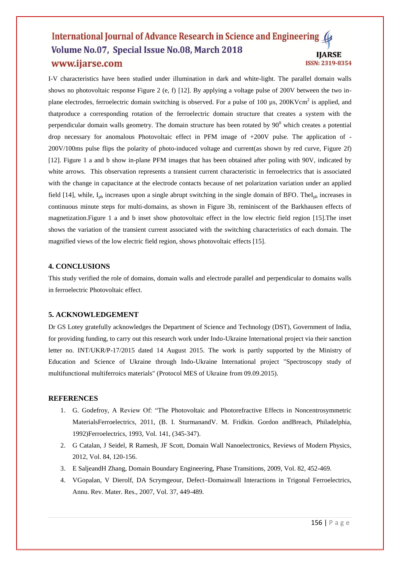I-V characteristics have been studied under illumination in dark and white-light. The parallel domain walls shows no photovoltaic response Figure 2 (e, f) [12]. By applying a voltage pulse of 200V between the two inplane electrodes, ferroelectric domain switching is observed. For a pulse of 100  $\mu$ s, 200KVcm<sup>2</sup> is applied, and thatproduce a corresponding rotation of the ferroelectric domain structure that creates a system with the perpendicular domain walls geometry. The domain structure has been rotated by  $90^0$  which creates a potential drop necessary for anomalous Photovoltaic effect in PFM image of +200V pulse. The application of - 200V/100ms pulse flips the polarity of photo-induced voltage and current(as shown by red curve, Figure 2f) [12]. Figure 1 a and b show in-plane PFM images that has been obtained after poling with 90V, indicated by white arrows. This observation represents a transient current characteristic in ferroelectrics that is associated with the change in capacitance at the electrode contacts because of net polarization variation under an applied field [14], while, I<sub>ph</sub> increases upon a single abrupt switching in the single domain of BFO. TheI<sub>ph</sub> increases in continuous minute steps for multi-domains, as shown in Figure 3b, reminiscent of the Barkhausen effects of magnetization.Figure 1 a and b inset show photovoltaic effect in the low electric field region [15].The inset shows the variation of the transient current associated with the switching characteristics of each domain. The magnified views of the low electric field region, shows photovoltaic effects [15].

### **4. CONCLUSIONS**

This study verified the role of domains, domain walls and electrode parallel and perpendicular to domains walls in ferroelectric Photovoltaic effect.

## **5. ACKNOWLEDGEMENT**

Dr GS Lotey gratefully acknowledges the Department of Science and Technology (DST), Government of India, for providing funding, to carry out this research work under Indo-Ukraine International project via their sanction letter no. INT/UKR/P-17/2015 dated 14 August 2015. The work is partly supported by the Ministry of Education and Science of Ukraine through Indo-Ukraine International project "Spectroscopy study of multifunctional multiferroics materials" (Protocol MES of Ukraine from 09.09.2015).

#### **REFERENCES**

- 1. G. Godefroy, A Review Of: "The Photovoltaic and Photorefractive Effects in Noncentrosymmetric MaterialsFerroelectrics, 2011, (B. I. SturmanandV. M. Fridkin. Gordon andBreach, Philadelphia, 1992)Ferroelectrics, 1993, Vol. 141, (345-347).
- 2. G Catalan, J Seidel, R Ramesh, JF Scott, Domain Wall Nanoelectronics, Reviews of Modern Physics, 2012, Vol. 84, 120-156.
- 3. E SaljeandH Zhang, Domain Boundary Engineering, Phase Transitions, 2009, Vol. 82, 452-469.
- 4. VGopalan, V Dierolf, DA Scrymgeour, Defect–Domainwall Interactions in Trigonal Ferroelectrics, Annu. Rev. Mater. Res., 2007, Vol. 37, 449-489.